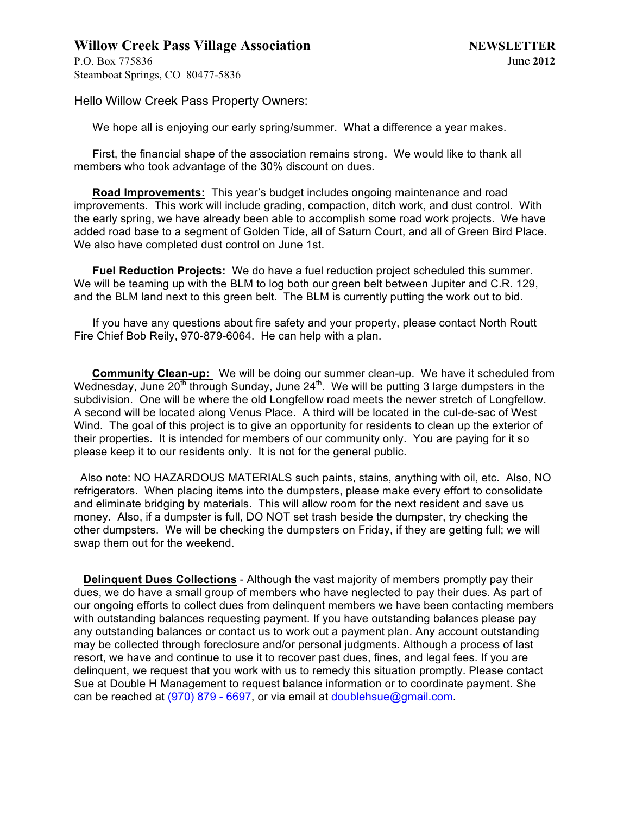# **Willow Creek Pass Village Association NEWSLETTER**

P.O. Box 775836 June **2012** Steamboat Springs, CO 80477-5836

Hello Willow Creek Pass Property Owners:

We hope all is enjoying our early spring/summer. What a difference a year makes.

First, the financial shape of the association remains strong. We would like to thank all members who took advantage of the 30% discount on dues.

**Road Improvements:** This year's budget includes ongoing maintenance and road improvements. This work will include grading, compaction, ditch work, and dust control. With the early spring, we have already been able to accomplish some road work projects. We have added road base to a segment of Golden Tide, all of Saturn Court, and all of Green Bird Place. We also have completed dust control on June 1st.

**Fuel Reduction Projects:** We do have a fuel reduction project scheduled this summer. We will be teaming up with the BLM to log both our green belt between Jupiter and C.R. 129, and the BLM land next to this green belt. The BLM is currently putting the work out to bid.

If you have any questions about fire safety and your property, please contact North Routt Fire Chief Bob Reily, 970-879-6064. He can help with a plan.

 **Community Clean-up:** We will be doing our summer clean-up. We have it scheduled from Wednesday, June  $20<sup>th</sup>$  through Sunday, June  $24<sup>th</sup>$ . We will be putting 3 large dumpsters in the subdivision. One will be where the old Longfellow road meets the newer stretch of Longfellow. A second will be located along Venus Place. A third will be located in the cul-de-sac of West Wind. The goal of this project is to give an opportunity for residents to clean up the exterior of their properties. It is intended for members of our community only. You are paying for it so please keep it to our residents only. It is not for the general public.

 Also note: NO HAZARDOUS MATERIALS such paints, stains, anything with oil, etc. Also, NO refrigerators. When placing items into the dumpsters, please make every effort to consolidate and eliminate bridging by materials. This will allow room for the next resident and save us money. Also, if a dumpster is full, DO NOT set trash beside the dumpster, try checking the other dumpsters. We will be checking the dumpsters on Friday, if they are getting full; we will swap them out for the weekend.

 **Delinquent Dues Collections** - Although the vast majority of members promptly pay their dues, we do have a small group of members who have neglected to pay their dues. As part of our ongoing efforts to collect dues from delinquent members we have been contacting members with outstanding balances requesting payment. If you have outstanding balances please pay any outstanding balances or contact us to work out a payment plan. Any account outstanding may be collected through foreclosure and/or personal judgments. Although a process of last resort, we have and continue to use it to recover past dues, fines, and legal fees. If you are delinquent, we request that you work with us to remedy this situation promptly. Please contact Sue at Double H Management to request balance information or to coordinate payment. She can be reached at  $(970)$  879 - 6697, or via email at doublehsue@gmail.com.